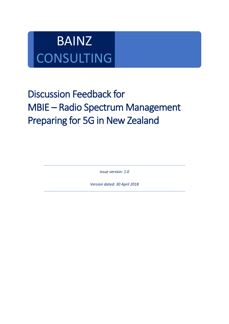# BAINZ **CONSULTING**

## Discussion Feedback for MBIE – Radio Spectrum Management Preparing for 5G in New Zealand

*Issue version: 1.0*

*Version dated: 30 April 2018*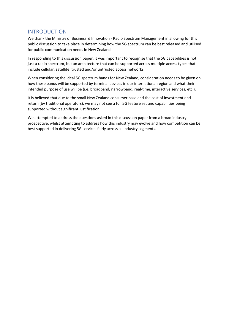## INTRODUCTION

We thank the Ministry of Business & Innovation - Radio Spectrum Management in allowing for this public discussion to take place in determining how the 5G spectrum can be best released and utilised for public communication needs in New Zealand.

In responding to this discussion paper, it was important to recognise that the 5G capabilities is not just a radio spectrum, but an architecture that can be supported across multiple access types that include cellular, satellite, trusted and/or untrusted access networks.

When considering the ideal 5G spectrum bands for New Zealand, consideration needs to be given on how these bands will be supported by terminal devices in our international region and what their intended purpose of use will be (i.e. broadband, narrowband, real-time, interactive services, etc.).

It is believed that due to the small New Zealand consumer base and the cost of investment and return (by traditional operators), we may not see a full 5G feature set and capabilities being supported without significant justification.

We attempted to address the questions asked in this discussion paper from a broad industry prospective, whilst attempting to address how this industry may evolve and how competition can be best supported in delivering 5G services fairly across all industry segments.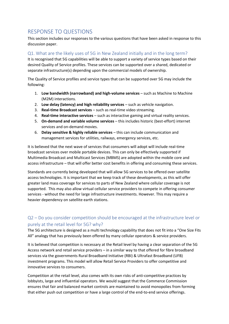## RESPONSE TO QUESTIONS

This section includes our responses to the various questions that have been asked in response to this discussion paper.

#### Q1. What are the likely uses of 5G in New Zealand initially and in the long term?

It is recognised that 5G capabilities will be able to support a variety of service types based on their desired Quality of Service profiles. These services can be supported over a shared, dedicated or separate infrastructure(s) depending upon the commercial models of ownership.

The Quality of Service profiles and service types that can be supported over 5G may include the following:

- 1. **Low bandwidth (narrowband) and high-volume services** such as Machine to Machine (M2M) interactions.
- 2. **Low delay (latency) and high reliability services** such as vehicle navigation.
- 3. **Real-time Broadcast services** such as real-time video streaming.
- 4. **Real-time interactive services** such as interactive gaming and virtual reality services.
- 5. **On-demand and variable volume services** this includes historic (best-effort) internet services and on-demand movies.
- 6. **Delay sensitive & highly reliable services**  this can include communication and management services for utilities, railways, emergency services, etc.

It is believed that the next wave of services that consumers will adopt will include real-time broadcast services over mobile portable devices. This can only be effectively supported if Multimedia Broadcast and Multicast Services (MBMS) are adopted within the mobile core and access infrastructure – that will offer better cost benefits in offering and consuming these services.

Standards are currently being developed that will allow 5G services to be offered over satellite access technologies. It is important that we keep track of these developments, as this will offer greater land mass coverage for services to parts of New Zealand where cellular coverage is not supported. This may also allow virtual cellular service providers to compete in offering consumer services - without the need for large infrastructure investments. However. This may require a heavier dependency on satellite earth stations.

## Q2 – Do you consider competition should be encouraged at the infrastructure level or purely at the retail level for 5G? why?

The 5G architecture is designed as a multi technology capability that does not fit into a "One Size Fits All" analogy that has previously been offered by many cellular operators & service providers.

It is believed that competition is necessary at the Retail level by having a clear separation of the 5G Access network and retail service providers – in a similar way to that offered for fibre broadband services via the governments Rural Broadband Initiative (RBI) & Ultrafast Broadband (UFB) investment programs. This model will allow Retail Service Providers to offer competitive and innovative services to consumers.

Competition at the retail level, also comes with its own risks of anti-competitive practices by lobbyists, large and influential operators. We would suggest that the Commerce Commission ensures that fair and balanced market controls are maintained to avoid monopolies from forming that either push out competition or have a large control of the end-to-end service offerings.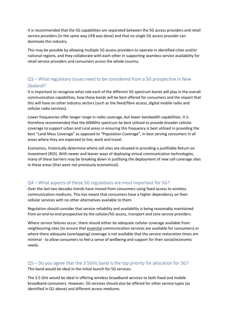It is recommended that the 5G capabilities are separated between the 5G access providers and retail service providers (in the same way UFB was done) and that no single 5G access provider can dominate this industry.

This may be possible by allowing multiple 5G access providers to operate in identified cities and/or national regions, and they collaborate with each other in supporting seamless service availability for retail service providers and consumers across the whole country.

## Q3 – What regulatory issues need to be considered from a 5G prospective in New Zealand?

It is important to recognise what role each of the different 5G spectrum bands will play in the overall communication capabilities, how these bands will be best offered for consumers and the impact that this will have on other industry sectors (such as the fixed/fibre access, digital mobile radio and cellular radio services).

Lower frequencies offer longer range in radio coverage, but lower bandwidth capabilities. It is therefore recommended that the 600MHz spectrum be best utilised to provide broader cellular coverage to support urban and rural areas in ensuring this frequency is best utilised in providing the best "Land Mass Coverage" as opposed to "Population Coverage", in best serving consumers in all areas where they are expected to live, work and travel.

Economics, historically determine where cell sites are situated in providing a justifiable Return on Investment (ROI). With newer and leaner ways of deploying virtual communication technologies, many of these barriers may be breaking down in justifying the deployment of new cell coverage sites in these areas (that were not previously economical).

#### Q4 – What aspects of these 5G regulations are most important for 5G?

Over the last two decades trends have moved from consumers using fixed access to wireless communication mediums. This has meant that consumers have a higher dependency on their cellular services with no other alternatives available to them.

Regulation should consider that service reliability and availability is being reasonably maintained from an end-to-end prospective by the cellular/5G access, transport and core service providers.

Where service failures occur, there should either be adequate cellular coverage available from neighbouring sites (to ensure that essential communication services are available for consumers) or where there adequate (overlapping) coverage is not available that the service restoration times are minimal - to allow consumers to feel a sense of wellbeing and support for their social/economic needs.

#### Q5 – Do you agree that the 3.5GHz band is the top priority for allocation for 5G? This band would be ideal in the initial launch for 5G services.

The 3.5 GHz would be ideal in offering wireless broadband services to both fixed and mobile broadband consumers. However, 5G services should also be offered for other service types (as identified in Q1 above) and different access mediums.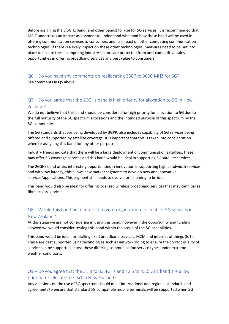Before assigning the 3.5GHz band (and other bands) for use for 5G services, it is recommended that MBIE undertakes an impact assessment to understand what and how these band will be used in offering communication services to consumers and its impact on other competing communication technologies. If there is a likely impact on these other technologies, measures need to be put into place to ensure these competing industry sectors are protected from anti-competitive sales opportunities in offering broadband services and best value to consumers.

Q6 – Do you have any comments on reallocating 3587 to 3690 MHZ for 5G? See comments in Q5 above.

## Q7 – Do you agree that the 26GHz band is high priority for allocation to 5G in New Zealand?

We do not believe that this band should be considered for high priority for allocation to 5G due to the full maturity of the 5G spectrum allocations and the intended purpose of this spectrum by the 5G community.

The 5G standards that are being developed by 3GPP, also includes capability of 5G services being offered and supported by satellite coverage. It is important that this is taken into consideration when re-assigning this band for any other purpose.

Industry trends indicate that there will be a large deployment of communication satellites, these may offer 5G coverage services and this band would be ideal in supporting 5G satellite services.

The 26GHz band offers interesting opportunities in innovation in supporting high bandwidth services and with low latency, this allows new market segments to develop new and innovative services/applications. This segment still needs to evolve for its timing to be ideal.

This band would also be ideal for offering localised wireless broadband services that may cannibalise fibre access services.

#### Q8 – Would this band be of interest to your organization for trial for 5G services in New Zealand?

At this stage we are not considering in using this band, however if the opportunity and funding allowed we would consider testing this band within the scope of the 5G capabilities.

This band would be ideal for trialling fixed broadband services, M2M and internet of things (IoT). These are best supported using technologies such as network slicing to ensure the correct quality of service can be supported across these differing communication service types under extreme weather conditions.

## Q9 – Do you agree that the 31.8 to 33.4GHz and 42.5 to 43.5 GHz band are a low priority for allocation to 5G in New Zealand?

Any decisions on the use of 5G spectrum should meet international and regional standards and agreements to ensure that standard 5G compatible mobile terminals will be supported when 5G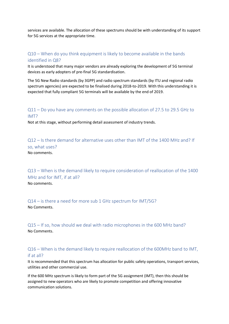services are available. The allocation of these spectrums should be with understanding of its support for 5G services at the appropriate time.

## Q10 – When do you think equipment is likely to become available in the bands identified in Q8?

It is understood that many major vendors are already exploring the development of 5G terminal devices as early adopters of pre-final 5G standardisation.

The 5G New Radio standards (by 3GPP) and radio spectrum standards (by ITU and regional radio spectrum agencies) are expected to be finalised during 2018-to-2019. With this understanding it is expected that fully compliant 5G terminals will be available by the end of 2019.

## Q11 – Do you have any comments on the possible allocation of 27.5 to 29.5 GHz to IMT?

Not at this stage, without performing detail assessment of industry trends.

Q12 – Is there demand for alternative uses other than IMT of the 1400 MHz and? If so, what uses? No comments.

Q13 – When is the demand likely to require consideration of reallocation of the 1400 MHz and for IMT, if at all? No comments.

Q14 – is there a need for more sub 1 GHz spectrum for IMT/5G? No Comments.

Q15 – If so, how should we deal with radio microphones in the 600 MHz band? No Comments.

## Q16 – When is the demand likely to require reallocation of the 600MHz band to IMT, if at all?

It is recommended that this spectrum has allocation for public safety operations, transport services, utilities and other commercial use.

If the 600 MHz spectrum is likely to form part of the 5G assignment (IMT), then this should be assigned to new operators who are likely to promote competition and offering innovative communication solutions.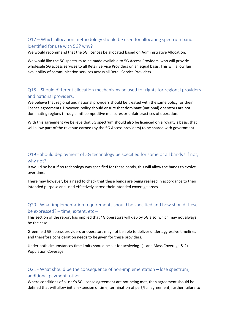## Q17 – Which allocation methodology should be used for allocating spectrum bands identified for use with 5G? why?

We would recommend that the 5G licences be allocated based on Administrative Allocation.

We would like the 5G spectrum to be made available to 5G Access Providers, who will provide wholesale 5G access services to all Retail Service Providers on an equal basis. This will allow fair availability of communication services across all Retail Service Providers.

## Q18 – Should different allocation mechanisms be used for rights for regional providers and national providers.

We believe that regional and national providers should be treated with the same policy for their licence agreements. However, policy should ensure that dominant (national) operators are not dominating regions through anti-competitive measures or unfair practices of operation.

With this agreement we believe that 5G spectrum should also be licenced on a royalty's basis, that will allow part of the revenue earned (by the 5G Access providers) to be shared with government.

## Q19 - Should deployment of 5G technology be specified for some or all bands? If not, why not?

It would be best if no technology was specified for these bands, this will allow the bands to evolve over time.

There may however, be a need to check that these bands are being realised in accordance to their intended purpose and used effectively across their intended coverage areas.

## Q20 - What implementation requirements should be specified and how should these be expressed? – time, extent, etc –

This section of the report has implied that 4G operators will deploy 5G also, which may not always be the case.

Greenfield 5G access providers or operators may not be able to deliver under aggressive timelines and therefore consideration needs to be given for these providers.

Under both circumstances time limits should be set for achieving 1) Land Mass Coverage & 2) Population Coverage.

## Q21 - What should be the consequence of non-implementation – lose spectrum,

#### additional payment, other

Where conditions of a user's 5G license agreement are not being met, then agreement should be defined that will allow initial extension of time, termination of part/full agreement, further failure to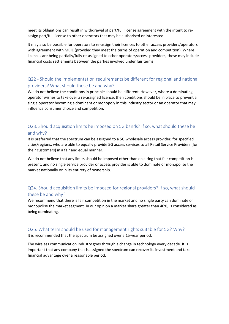meet its obligations can result in withdrawal of part/full license agreement with the intent to reassign part/full license to other operators that may be authorised or interested.

It may also be possible for operators to re-assign their licences to other access providers/operators with agreement with MBIE (provided they meet the terms of operation and competition). Where licenses are being partially/fully re-assigned to other operators/access providers, these may include financial costs settlements between the parties involved under fair terms.

## Q22 - Should the implementation requirements be different for regional and national providers? What should these be and why?

We do not believe the conditions in principle should be different. However, where a dominating operator wishes to take over a re-assigned licence, then conditions should be in place to prevent a single operator becoming a dominant or monopoly in this industry sector or an operator that may influence consumer choice and competition.

## Q23. Should acquisition limits be imposed on 5G bands? If so, what should these be and why?

It is preferred that the spectrum can be assigned to a 5G wholesale access provider, for specified cities/regions, who are able to equally provide 5G access services to all Retail Service Providers (for their customers) in a fair and equal manner.

We do not believe that any limits should be imposed other than ensuring that fair competition is present, and no single service provider or access provider is able to dominate or monopolise the market nationally or in its entirety of ownership.

## Q24. Should acquisition limits be imposed for regional providers? If so, what should these be and why?

We recommend that there is fair competition in the market and no single party can dominate or monopolise the market segment. In our opinion a market share greater than 40%, is considered as being dominating.

## Q25. What term should be used for management rights suitable for 5G? Why?

It is recommended that the spectrum be assigned over a 15-year period.

The wireless communication industry goes through a change in technology every decade. It is important that any company that is assigned the spectrum can recover its investment and take financial advantage over a reasonable period.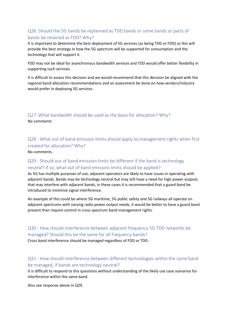## Q26. Should the 5G bands be replanned as TDD bands or some bands or parts of bands be retained as FDD? Why?

It is important to determine the best deployment of 5G services (as being TDD or FDD) as this will provide the best strategy in how the 5G spectrum will be supported for consumption and the technology that will support it.

FDD may not be ideal for asynchronous bandwidth services and TDD would offer better flexibility in supporting such services.

It is difficult to assess this decision and we would recommend that this decision be aligned with the regional band allocation recommendations and an assessment be done on how vendors/industry would prefer in deploying 5G services.

Q27. What bandwidth should be used as the basis for allocation? Why? No comments

Q28 - What out of band emission limits should apply to management rights when first created for allocation? Why? No comments.

## Q29 - Should out of band emission limits be different if the band is technology neutral? If so, what out of band emission limits should be applied?

As 5G has multiple purposes of use, adjacent operators are likely to have issues in operating with adjacent bands. Bands may be technology neutral but may still have a need for high power outputs that may interfere with adjacent bands, in these cases it is recommended that a guard band be introduced to minimise signal interference.

An example of this could be where 5G maritime, 5G public safety and 5G railways all operate on adjacent spectrums with varying radio power output needs, it would be better to have a guard band present than require control in cross spectrum band management rights.

## Q30 - How should interference between adjacent frequency 5G TDD networks be managed? Should this be the same for all frequency bands?

Cross band interference should be managed regardless of FDD or TDD.

## Q31 - How should interference between different technologies within the same band be managed, if bands are technology neutral?

It is difficult to respond to this questions without understanding of the likely use case scenarios for interference within the same band.

Also see response above in Q29.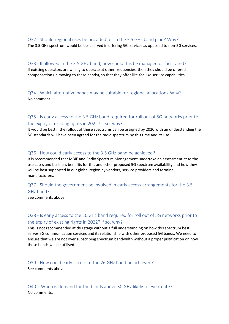#### Q32 - Should regional uses be provided for in the 3.5 GHz band plan? Why?

The 3.5 GHz spectrum would be best served in offering 5G services as opposed to non-5G services.

#### Q33 - If allowed in the 3.5 GHz band, how could this be managed or facilitated?

If existing operators are willing to operate at other frequencies, then they should be offered compensation (in moving to these bands), so that they offer like-for-like service capabilities.

Q34 - Which alternative bands may be suitable for regional allocation? Why? No comment.

## Q35 - Is early access to the 3.5 GHz band required for roll out of 5G networks prior to the expiry of existing rights in 2022? If so, why?

It would be best if the rollout of these spectrums can be assigned by 2020 with an understanding the 5G standards will have been agreed for the radio spectrum by this time and its use.

#### Q36 - How could early access to the 3.5 GHz band be achieved?

It is recommended that MBIE and Radio Spectrum Management undertake an assessment at to the use cases and business benefits for this and other proposed 5G spectrum availability and how they will be best supported in our global region by vendors, service providers and terminal manufacturers.

## Q37 - Should the government be involved in early access arrangements for the 3.5 GHz band?

See comments above.

## Q38 - Is early access to the 26 GHz band required for roll out of 5G networks prior to the expiry of existing rights in 2022? If so, why?

This is not recommended at this stage without a full understanding on how this spectrum best serves 5G communication services and its relationship with other proposed 5G bands. We need to ensure that we are not over subscribing spectrum bandwidth without a proper justification on how these bands will be utilised.

#### Q39 - How could early access to the 26 GHz band be achieved? See comments above.

Q40 - When is demand for the bands above 30 GHz likely to eventuate? No comments.